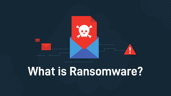

# **What is Ransomware?**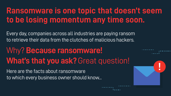#### **Ransomware is one topic that doesn't seem to be losing momentum any time soon.**

Every day, companies across all industries are paying ransom to retrieve their data from the clutches of malicious hackers.

## Why? **Because ransomware! What's that you ask?** Great question!

Here are the facts about ransomware to which every business owner should know...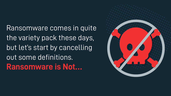Ransomware comes in quite the variety pack these days, but let's start by cancelling out some definitions. **Ransomware is Not…**

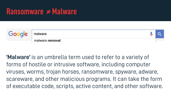#### **Ransomware ≠ Malware**

|  | malware         |  |
|--|-----------------|--|
|  | malware removal |  |

**'Malware'** is an umbrella term used to refer to a variety of forms of hostile or intrusive software, including computer viruses, worms, trojan horses, ransomware, spyware, adware, scareware, and other malicious programs. It can take the form of executable code, scripts, active content, and other software.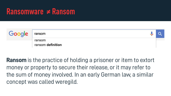#### **Ransomware ≠ Ransom**

| Google | ransom                      |  |
|--------|-----------------------------|--|
|        | ransom<br>ransom definition |  |

**Ransom** is the practice of holding a prisoner or item to extort money or property to secure their release, or it may refer to the sum of money involved. In an early German law, a similar concept was called weregild.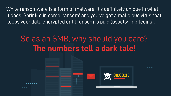While ransomware is a form of malware, it's definitely unique in what it does. Sprinkle in some 'ransom' and you've got a malicious virus that keeps your data encrypted until ransom is paid (usually in [bitcoins\)](http://www.coindesk.com/information/what-is-bitcoin/).

### So as an SMB, why should you care? **The numbers tell a dark tale!**

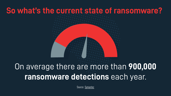#### **So what's the current state of ransomware?**

# On average there are more than **900,000 ransomware detections** each year.

Source: [Symantec](https://www.symantec.com/content/dam/symantec/docs/reports/istr-23-2018-en.pdf)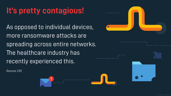### **It's pretty contagious!**

As opposed to individual devices, more ransomware attacks are spreading across entire networks. The healthcare industry has recently experienced this.

Source: CIO



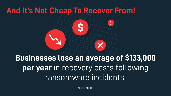# **And It's Not Cheap To Recover From!**



# **Businesses lose an average of \$133,000 per year** in recovery costs following ransomware incidents.

Source: [Sophos](https://news.sophos.com/en-us/2018/02/01/understanding-ransomware-and-the-impact-of-repeated-attacks/)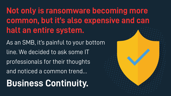**Not only is ransomware becoming more common, but it's also expensive and can halt an entire system.**

As an SMB, it's painful to your bottom line. We decided to ask some IT professionals for their thoughts and noticed a common trend… **Business Continuity.**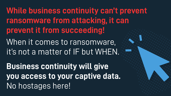**While business continuity can't prevent ransomware from attacking, it can prevent it from succeeding!** 

When it comes to ransomware, it's not a matter of IF but WHEN.

**Business continuity will give you access to your captive data.**  No hostages here!